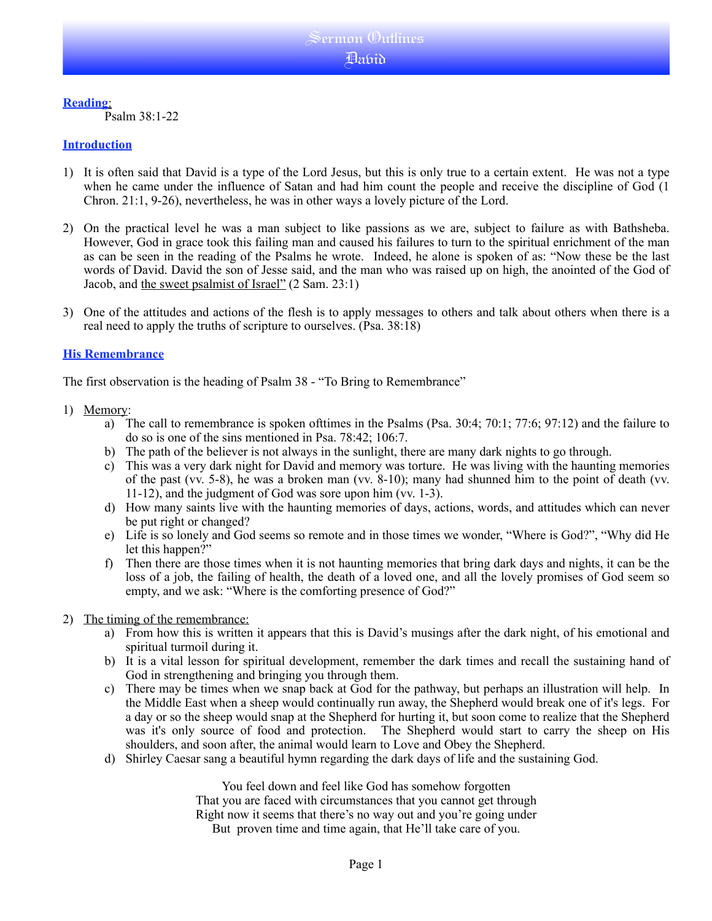## **Reading**:

Psalm 38:1-22

## **Introduction**

- 1) It is often said that David is a type of the Lord Jesus, but this is only true to a certain extent. He was not a type when he came under the influence of Satan and had him count the people and receive the discipline of God (1 Chron. 21:1, 9-26), nevertheless, he was in other ways a lovely picture of the Lord.
- 2) On the practical level he was a man subject to like passions as we are, subject to failure as with Bathsheba. However, God in grace took this failing man and caused his failures to turn to the spiritual enrichment of the man as can be seen in the reading of the Psalms he wrote. Indeed, he alone is spoken of as: "Now these be the last words of David. David the son of Jesse said, and the man who was raised up on high, the anointed of the God of Jacob, and the sweet psalmist of Israel" (2 Sam. 23:1)
- 3) One of the attitudes and actions of the flesh is to apply messages to others and talk about others when there is a real need to apply the truths of scripture to ourselves. (Psa. 38:18)

## **His Remembrance**

The first observation is the heading of Psalm 38 - "To Bring to Remembrance"

- 1) Memory:
	- a) The call to remembrance is spoken ofttimes in the Psalms (Psa. 30:4; 70:1; 77:6; 97:12) and the failure to do so is one of the sins mentioned in Psa. 78:42; 106:7.
	- b) The path of the believer is not always in the sunlight, there are many dark nights to go through.
	- c) This was a very dark night for David and memory was torture. He was living with the haunting memories of the past (vv. 5-8), he was a broken man (vv. 8-10); many had shunned him to the point of death (vv. 11-12), and the judgment of God was sore upon him (vv. 1-3).
	- d) How many saints live with the haunting memories of days, actions, words, and attitudes which can never be put right or changed?
	- e) Life is so lonely and God seems so remote and in those times we wonder, "Where is God?", "Why did He let this happen?"
	- f) Then there are those times when it is not haunting memories that bring dark days and nights, it can be the loss of a job, the failing of health, the death of a loved one, and all the lovely promises of God seem so empty, and we ask: "Where is the comforting presence of God?"

### 2) The timing of the remembrance:

- a) From how this is written it appears that this is David's musings after the dark night, of his emotional and spiritual turmoil during it.
- b) It is a vital lesson for spiritual development, remember the dark times and recall the sustaining hand of God in strengthening and bringing you through them.
- c) There may be times when we snap back at God for the pathway, but perhaps an illustration will help. In the Middle East when a sheep would continually run away, the Shepherd would break one of it's legs. For a day or so the sheep would snap at the Shepherd for hurting it, but soon come to realize that the Shepherd was it's only source of food and protection. The Shepherd would start to carry the sheep on His shoulders, and soon after, the animal would learn to Love and Obey the Shepherd.
- d) Shirley Caesar sang a beautiful hymn regarding the dark days of life and the sustaining God.

You feel down and feel like God has somehow forgotten That you are faced with circumstances that you cannot get through Right now it seems that there's no way out and you're going under But proven time and time again, that He'll take care of you.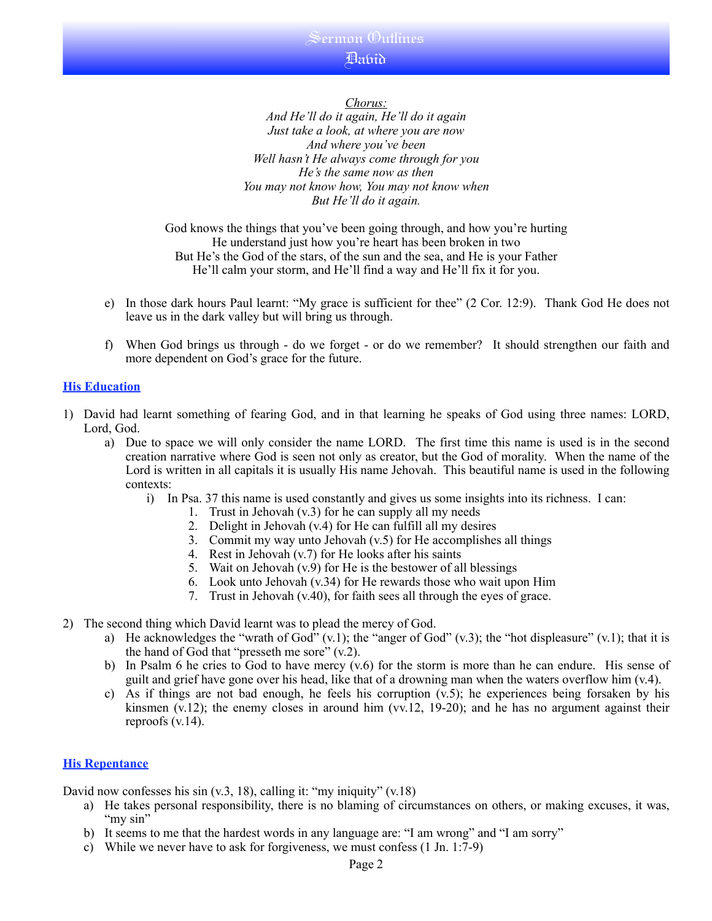## Sermon Outlines ปี สหรัก<br>ปี

*Chorus: And He'll do it again, He'll do it again Just take a look, at where you are now And where you've been Well hasn't He always come through for you He's the same now as then You may not know how, You may not know when But He'll do it again.*

God knows the things that you've been going through, and how you're hurting He understand just how you're heart has been broken in two But He's the God of the stars, of the sun and the sea, and He is your Father He'll calm your storm, and He'll find a way and He'll fix it for you.

- e) In those dark hours Paul learnt: "My grace is sufficient for thee" (2 Cor. 12:9). Thank God He does not leave us in the dark valley but will bring us through.
- f) When God brings us through do we forget or do we remember? It should strengthen our faith and more dependent on God's grace for the future.

## **His Education**

- 1) David had learnt something of fearing God, and in that learning he speaks of God using three names: LORD, Lord, God.
	- a) Due to space we will only consider the name LORD. The first time this name is used is in the second creation narrative where God is seen not only as creator, but the God of morality. When the name of the Lord is written in all capitals it is usually His name Jehovah. This beautiful name is used in the following contexts:
		- i) In Psa. 37 this name is used constantly and gives us some insights into its richness. I can:
			- 1. Trust in Jehovah (v.3) for he can supply all my needs
			- 2. Delight in Jehovah (v.4) for He can fulfill all my desires
			- 3. Commit my way unto Jehovah (v.5) for He accomplishes all things
			- 4. Rest in Jehovah (v.7) for He looks after his saints
			- 5. Wait on Jehovah (v.9) for He is the bestower of all blessings
			- 6. Look unto Jehovah (v.34) for He rewards those who wait upon Him
			- 7. Trust in Jehovah (v.40), for faith sees all through the eyes of grace.
- 2) The second thing which David learnt was to plead the mercy of God.
	- a) He acknowledges the "wrath of God"  $(v.1)$ ; the "anger of God"  $(v.3)$ ; the "hot displeasure"  $(v.1)$ ; that it is the hand of God that "presseth me sore" (v.2).
	- b) In Psalm 6 he cries to God to have mercy (v.6) for the storm is more than he can endure. His sense of guilt and grief have gone over his head, like that of a drowning man when the waters overflow him  $(v.4)$ .
	- c) As if things are not bad enough, he feels his corruption  $(v.5)$ ; he experiences being forsaken by his kinsmen (v.12); the enemy closes in around him (vv.12, 19-20); and he has no argument against their reproofs (v.14).

### **His Repentance**

David now confesses his sin  $(v.3, 18)$ , calling it: "my iniquity"  $(v.18)$ 

- a) He takes personal responsibility, there is no blaming of circumstances on others, or making excuses, it was, "my sin"
- b) It seems to me that the hardest words in any language are: "I am wrong" and "I am sorry"
- c) While we never have to ask for forgiveness, we must confess (1 Jn. 1:7-9)